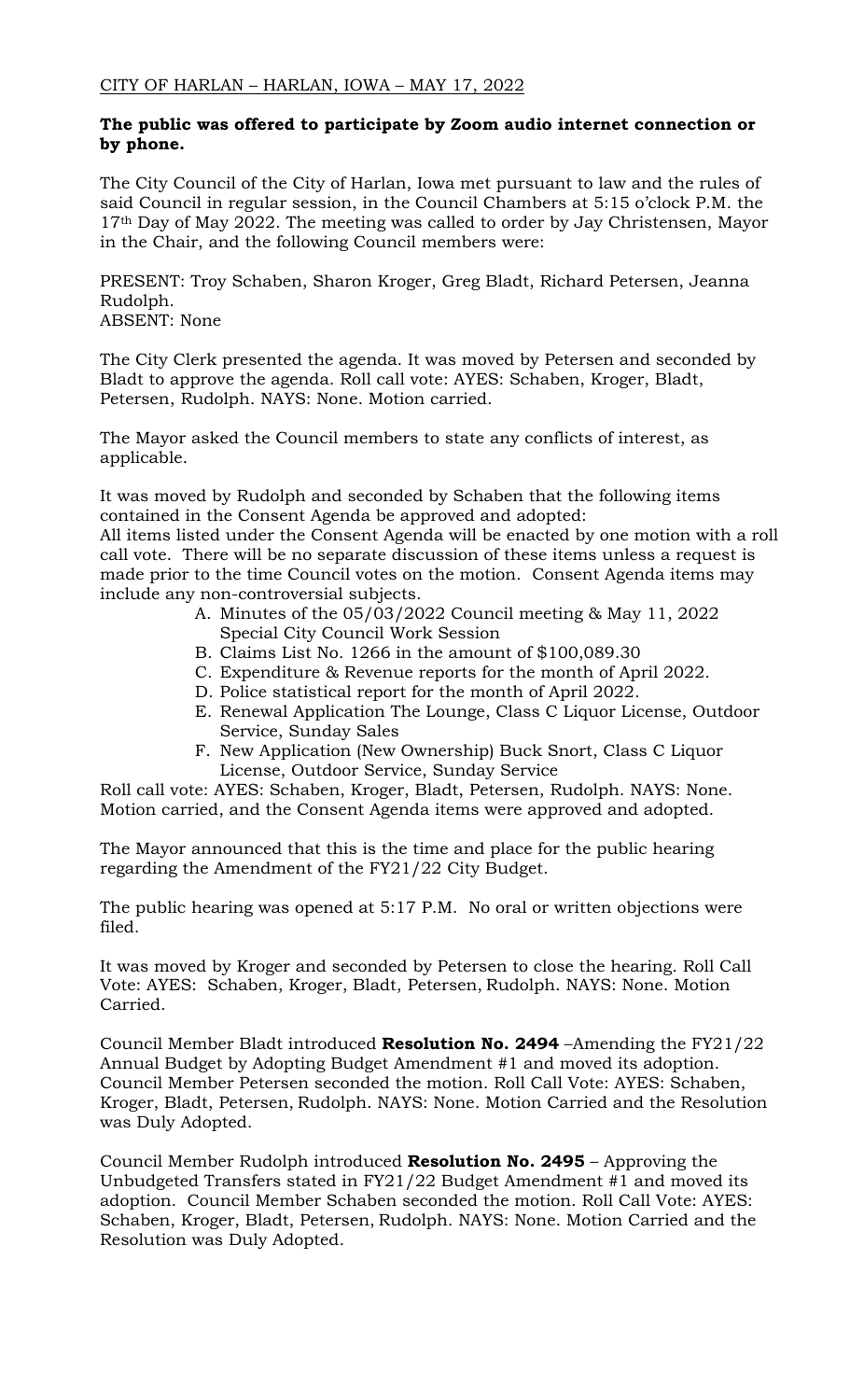## **The public was offered to participate by Zoom audio internet connection or by phone.**

The City Council of the City of Harlan, Iowa met pursuant to law and the rules of said Council in regular session, in the Council Chambers at 5:15 o'clock P.M. the 17<sup>th</sup> Day of May 2022. The meeting was called to order by Jay Christensen, Mayor in the Chair, and the following Council members were:

PRESENT: Troy Schaben, Sharon Kroger, Greg Bladt, Richard Petersen, Jeanna Rudolph.

ABSENT: None

The City Clerk presented the agenda. It was moved by Petersen and seconded by Bladt to approve the agenda. Roll call vote: AYES: Schaben, Kroger, Bladt, Petersen, Rudolph. NAYS: None. Motion carried.

The Mayor asked the Council members to state any conflicts of interest, as applicable.

It was moved by Rudolph and seconded by Schaben that the following items contained in the Consent Agenda be approved and adopted:

All items listed under the Consent Agenda will be enacted by one motion with a roll call vote. There will be no separate discussion of these items unless a request is made prior to the time Council votes on the motion. Consent Agenda items may include any non-controversial subjects.

- A. Minutes of the 05/03/2022 Council meeting & May 11, 2022 Special City Council Work Session
- B. Claims List No. 1266 in the amount of \$100,089.30
- C. Expenditure & Revenue reports for the month of April 2022.
- D. Police statistical report for the month of April 2022.
- E. Renewal Application The Lounge, Class C Liquor License, Outdoor Service, Sunday Sales
- F. New Application (New Ownership) Buck Snort, Class C Liquor License, Outdoor Service, Sunday Service

Roll call vote: AYES: Schaben, Kroger, Bladt, Petersen, Rudolph. NAYS: None. Motion carried, and the Consent Agenda items were approved and adopted.

The Mayor announced that this is the time and place for the public hearing regarding the Amendment of the FY21/22 City Budget.

The public hearing was opened at 5:17 P.M. No oral or written objections were filed.

It was moved by Kroger and seconded by Petersen to close the hearing. Roll Call Vote: AYES: Schaben, Kroger, Bladt, Petersen, Rudolph. NAYS: None. Motion Carried.

Council Member Bladt introduced **Resolution No. 2494** –Amending the FY21/22 Annual Budget by Adopting Budget Amendment #1 and moved its adoption. Council Member Petersen seconded the motion. Roll Call Vote: AYES: Schaben, Kroger, Bladt, Petersen, Rudolph. NAYS: None. Motion Carried and the Resolution was Duly Adopted.

Council Member Rudolph introduced **Resolution No. 2495** – Approving the Unbudgeted Transfers stated in FY21/22 Budget Amendment #1 and moved its adoption. Council Member Schaben seconded the motion. Roll Call Vote: AYES: Schaben, Kroger, Bladt, Petersen, Rudolph. NAYS: None. Motion Carried and the Resolution was Duly Adopted.